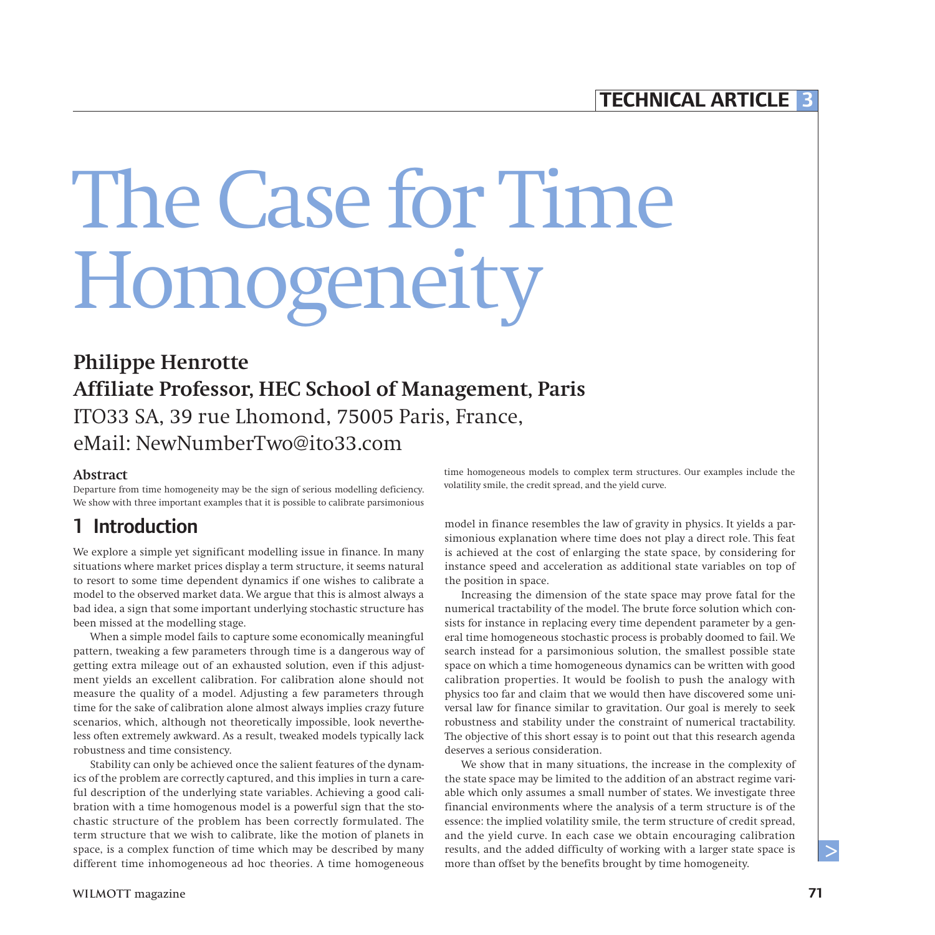# The Case for Time Homogeneity

# **Philippe Henrotte Affiliate Professor, HEC School of Management, Paris** ITO33 SA, 39 rue Lhomond, 75005 Paris, France, eMail: NewNumberTwo@ito33.com

#### **Abstract**

Departure from time homogeneity may be the sign of serious modelling deficiency. We show with three important examples that it is possible to calibrate parsimonious

## 1 Introduction

We explore a simple yet significant modelling issue in finance. In many situations where market prices display a term structure, it seems natural to resort to some time dependent dynamics if one wishes to calibrate a model to the observed market data. We argue that this is almost always a bad idea, a sign that some important underlying stochastic structure has been missed at the modelling stage.

When a simple model fails to capture some economically meaningful pattern, tweaking a few parameters through time is a dangerous way of getting extra mileage out of an exhausted solution, even if this adjustment yields an excellent calibration. For calibration alone should not measure the quality of a model. Adjusting a few parameters through time for the sake of calibration alone almost always implies crazy future scenarios, which, although not theoretically impossible, look nevertheless often extremely awkward. As a result, tweaked models typically lack robustness and time consistency.

Stability can only be achieved once the salient features of the dynamics of the problem are correctly captured, and this implies in turn a careful description of the underlying state variables. Achieving a good calibration with a time homogenous model is a powerful sign that the stochastic structure of the problem has been correctly formulated. The term structure that we wish to calibrate, like the motion of planets in space, is a complex function of time which may be described by many different time inhomogeneous ad hoc theories. A time homogeneous

time homogeneous models to complex term structures. Our examples include the volatility smile, the credit spread, and the yield curve.

model in finance resembles the law of gravity in physics. It yields a parsimonious explanation where time does not play a direct role. This feat is achieved at the cost of enlarging the state space, by considering for instance speed and acceleration as additional state variables on top of the position in space.

Increasing the dimension of the state space may prove fatal for the numerical tractability of the model. The brute force solution which consists for instance in replacing every time dependent parameter by a general time homogeneous stochastic process is probably doomed to fail. We search instead for a parsimonious solution, the smallest possible state space on which a time homogeneous dynamics can be written with good calibration properties. It would be foolish to push the analogy with physics too far and claim that we would then have discovered some universal law for finance similar to gravitation. Our goal is merely to seek robustness and stability under the constraint of numerical tractability. The objective of this short essay is to point out that this research agenda deserves a serious consideration.

We show that in many situations, the increase in the complexity of the state space may be limited to the addition of an abstract regime variable which only assumes a small number of states. We investigate three financial environments where the analysis of a term structure is of the essence: the implied volatility smile, the term structure of credit spread, and the yield curve. In each case we obtain encouraging calibration results, and the added difficulty of working with a larger state space is more than offset by the benefits brought by time homogeneity.

 $\geq$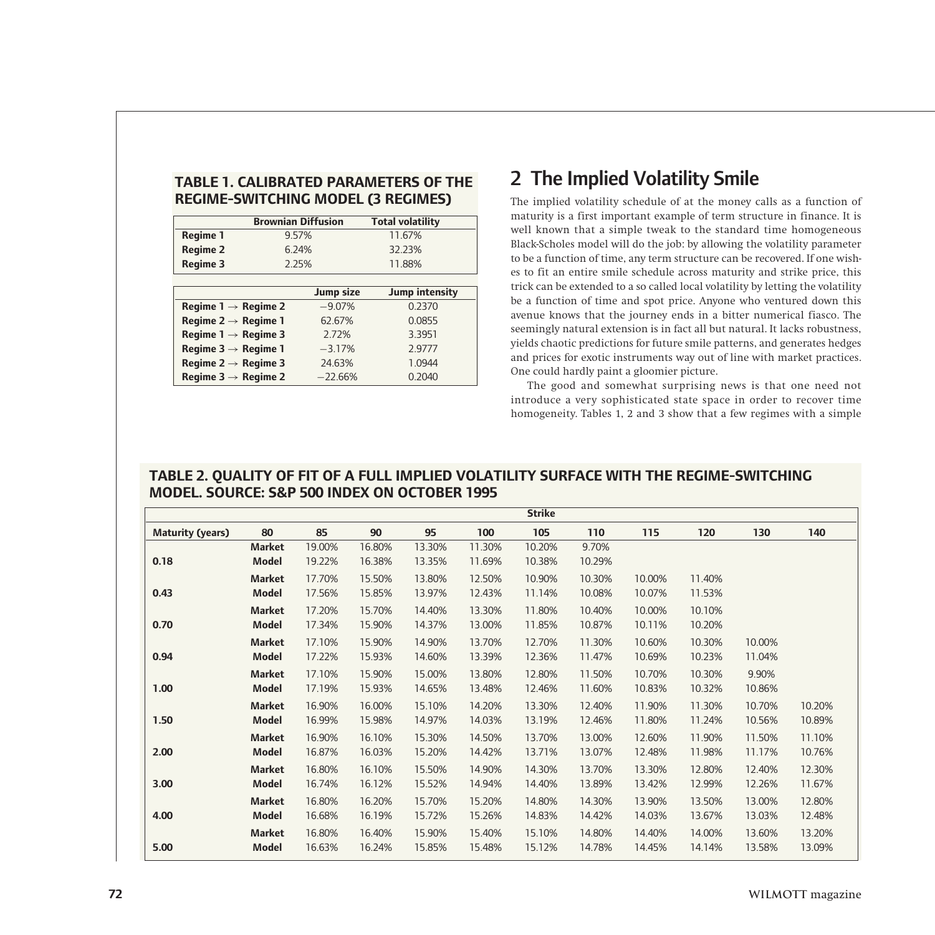| REGINIE-SWITCHING MODEL (3 REGINIES) |                           |                  |                         |  |  |  |
|--------------------------------------|---------------------------|------------------|-------------------------|--|--|--|
|                                      | <b>Brownian Diffusion</b> |                  | <b>Total volatility</b> |  |  |  |
| <b>Regime 1</b>                      | 9.57%                     |                  | 11.67%                  |  |  |  |
| <b>Regime 2</b>                      | 6.24%                     |                  | 32.23%                  |  |  |  |
| <b>Regime 3</b>                      | 2.25%                     |                  | 11.88%                  |  |  |  |
|                                      |                           |                  |                         |  |  |  |
|                                      |                           | <b>Jump size</b> | <b>Jump intensity</b>   |  |  |  |
| Regime $1 \rightarrow$ Regime 2      |                           | $-9.07%$         | 0.2370                  |  |  |  |
| Regime 2 $\rightarrow$ Regime 1      |                           | 62.67%           | 0.0855                  |  |  |  |
| Regime $1 \rightarrow$ Regime 3      |                           | 2.72%            | 3.3951                  |  |  |  |
| Regime $3 \rightarrow$ Regime 1      |                           | $-3.17%$         | 2.9777                  |  |  |  |
| Regime 2 $\rightarrow$ Regime 3      |                           | 24.63%           | 1.0944                  |  |  |  |
| Regime $3 \rightarrow$ Regime 2      |                           | $-22.66%$        | 0.2040                  |  |  |  |

**TABLE 1. CALIBRATED PARAMETERS OF THE REGIME-SWITCHING MODEL (3 REGIMES)**

## 2 The Implied Volatility Smile

The implied volatility schedule of at the money calls as a function of maturity is a first important example of term structure in finance. It is well known that a simple tweak to the standard time homogeneous Black-Scholes model will do the job: by allowing the volatility parameter to be a function of time, any term structure can be recovered. If one wishes to fit an entire smile schedule across maturity and strike price, this trick can be extended to a so called local volatility by letting the volatility be a function of time and spot price. Anyone who ventured down this avenue knows that the journey ends in a bitter numerical fiasco. The seemingly natural extension is in fact all but natural. It lacks robustness, yields chaotic predictions for future smile patterns, and generates hedges and prices for exotic instruments way out of line with market practices. One could hardly paint a gloomier picture.

The good and somewhat surprising news is that one need not introduce a very sophisticated state space in order to recover time homogeneity. Tables 1, 2 and 3 show that a few regimes with a simple

## **TABLE 2. QUALITY OF FIT OF A FULL IMPLIED VOLATILITY SURFACE WITH THE REGIME-SWITCHING MODEL. SOURCE: S&P 500 INDEX ON OCTOBER 1995**

|                         |               |        |        |        |        | <b>Strike</b> |        |        |        |        |        |
|-------------------------|---------------|--------|--------|--------|--------|---------------|--------|--------|--------|--------|--------|
| <b>Maturity (years)</b> | 80            | 85     | 90     | 95     | 100    | 105           | 110    | 115    | 120    | 130    | 140    |
|                         | <b>Market</b> | 19.00% | 16.80% | 13.30% | 11.30% | 10.20%        | 9.70%  |        |        |        |        |
| 0.18                    | <b>Model</b>  | 19.22% | 16.38% | 13.35% | 11.69% | 10.38%        | 10.29% |        |        |        |        |
|                         | <b>Market</b> | 17.70% | 15.50% | 13.80% | 12.50% | 10.90%        | 10.30% | 10.00% | 11.40% |        |        |
| 0.43                    | <b>Model</b>  | 17.56% | 15.85% | 13.97% | 12.43% | 11.14%        | 10.08% | 10.07% | 11.53% |        |        |
|                         | Market        | 17.20% | 15.70% | 14.40% | 13.30% | 11.80%        | 10.40% | 10.00% | 10.10% |        |        |
| 0.70                    | <b>Model</b>  | 17.34% | 15.90% | 14.37% | 13.00% | 11.85%        | 10.87% | 10.11% | 10.20% |        |        |
|                         | <b>Market</b> | 17.10% | 15.90% | 14.90% | 13.70% | 12.70%        | 11.30% | 10.60% | 10.30% | 10.00% |        |
| 0.94                    | <b>Model</b>  | 17.22% | 15.93% | 14.60% | 13.39% | 12.36%        | 11.47% | 10.69% | 10.23% | 11.04% |        |
|                         | <b>Market</b> | 17.10% | 15.90% | 15.00% | 13.80% | 12.80%        | 11.50% | 10.70% | 10.30% | 9.90%  |        |
| 1.00                    | <b>Model</b>  | 17.19% | 15.93% | 14.65% | 13.48% | 12.46%        | 11.60% | 10.83% | 10.32% | 10.86% |        |
|                         | <b>Market</b> | 16.90% | 16.00% | 15.10% | 14.20% | 13.30%        | 12.40% | 11.90% | 11.30% | 10.70% | 10.20% |
| 1.50                    | <b>Model</b>  | 16.99% | 15.98% | 14.97% | 14.03% | 13.19%        | 12.46% | 11.80% | 11.24% | 10.56% | 10.89% |
|                         | <b>Market</b> | 16.90% | 16.10% | 15.30% | 14.50% | 13.70%        | 13.00% | 12.60% | 11.90% | 11.50% | 11.10% |
| 2.00                    | <b>Model</b>  | 16.87% | 16.03% | 15.20% | 14.42% | 13.71%        | 13.07% | 12.48% | 11.98% | 11.17% | 10.76% |
|                         | <b>Market</b> | 16.80% | 16.10% | 15.50% | 14.90% | 14.30%        | 13.70% | 13.30% | 12.80% | 12.40% | 12.30% |
| 3.00                    | <b>Model</b>  | 16.74% | 16.12% | 15.52% | 14.94% | 14.40%        | 13.89% | 13.42% | 12.99% | 12.26% | 11.67% |
|                         | <b>Market</b> | 16.80% | 16.20% | 15.70% | 15.20% | 14.80%        | 14.30% | 13.90% | 13.50% | 13.00% | 12.80% |
| 4.00                    | <b>Model</b>  | 16.68% | 16.19% | 15.72% | 15.26% | 14.83%        | 14.42% | 14.03% | 13.67% | 13.03% | 12.48% |
|                         | <b>Market</b> | 16.80% | 16.40% | 15.90% | 15.40% | 15.10%        | 14.80% | 14.40% | 14.00% | 13.60% | 13.20% |
| 5.00                    | <b>Model</b>  | 16.63% | 16.24% | 15.85% | 15.48% | 15.12%        | 14.78% | 14.45% | 14.14% | 13.58% | 13.09% |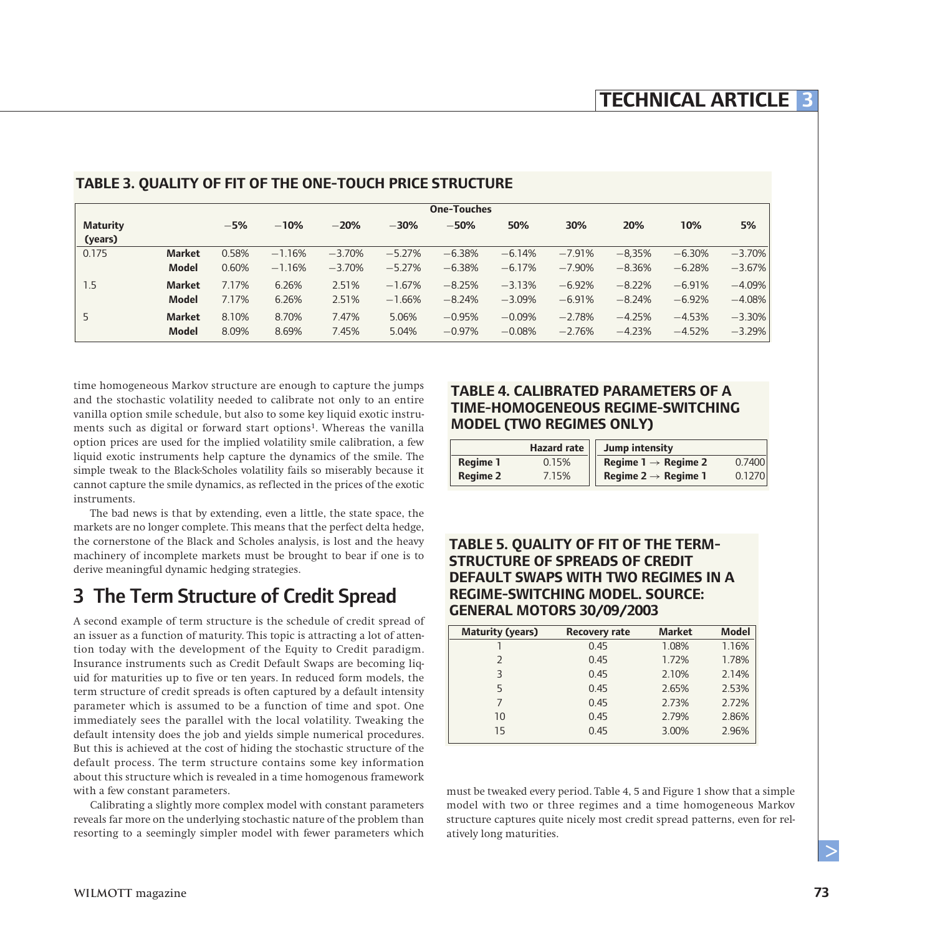## **TECHNICAL ARTICLE 3**

|                 |               |       |          |          |          | <b>One-Touches</b> |          |          |          |          |          |
|-----------------|---------------|-------|----------|----------|----------|--------------------|----------|----------|----------|----------|----------|
| <b>Maturity</b> |               | $-5%$ | $-10%$   | $-20%$   | $-30%$   | $-50%$             | 50%      | 30%      | 20%      | 10%      | 5%       |
| (years)         |               |       |          |          |          |                    |          |          |          |          |          |
| 0.175           | <b>Market</b> | 0.58% | $-1.16%$ | $-3.70%$ | $-5.27%$ | $-6.38%$           | $-6.14%$ | $-7.91%$ | $-8,35%$ | $-6.30%$ | $-3.70%$ |
|                 | <b>Model</b>  | 0.60% | $-1.16%$ | $-3.70%$ | $-5.27%$ | $-6.38%$           | $-6.17%$ | $-7.90%$ | $-8.36%$ | $-6.28%$ | $-3.67%$ |
| 1.5             | <b>Market</b> | 7.17% | 6.26%    | 2.51%    | $-1.67%$ | $-8.25%$           | $-3.13%$ | $-6.92%$ | $-8.22%$ | $-6.91%$ | $-4.09%$ |
|                 | <b>Model</b>  | 7.17% | 6.26%    | 2.51%    | $-1.66%$ | $-8.24%$           | $-3.09%$ | $-6.91%$ | $-8.24%$ | $-6.92%$ | $-4.08%$ |
| 5               | <b>Market</b> | 8.10% | 8.70%    | 7.47%    | 5.06%    | $-0.95%$           | $-0.09%$ | $-2.78%$ | $-4.25%$ | $-4.53%$ | $-3.30%$ |
|                 | <b>Model</b>  | 8.09% | 8.69%    | 7.45%    | 5.04%    | $-0.97%$           | $-0.08%$ | $-2.76%$ | $-4.23%$ | $-4.52%$ | $-3.29%$ |

#### **TABLE 3. QUALITY OF FIT OF THE ONE-TOUCH PRICE STRUCTURE**

time homogeneous Markov structure are enough to capture the jumps and the stochastic volatility needed to calibrate not only to an entire vanilla option smile schedule, but also to some key liquid exotic instruments such as digital or forward start options<sup>1</sup>. Whereas the vanilla option prices are used for the implied volatility smile calibration, a few liquid exotic instruments help capture the dynamics of the smile. The simple tweak to the Black-Scholes volatility fails so miserably because it cannot capture the smile dynamics, as reflected in the prices of the exotic instruments.

The bad news is that by extending, even a little, the state space, the markets are no longer complete. This means that the perfect delta hedge, the cornerstone of the Black and Scholes analysis, is lost and the heavy machinery of incomplete markets must be brought to bear if one is to derive meaningful dynamic hedging strategies.

## 3 The Term Structure of Credit Spread

A second example of term structure is the schedule of credit spread of an issuer as a function of maturity. This topic is attracting a lot of attention today with the development of the Equity to Credit paradigm. Insurance instruments such as Credit Default Swaps are becoming liquid for maturities up to five or ten years. In reduced form models, the term structure of credit spreads is often captured by a default intensity parameter which is assumed to be a function of time and spot. One immediately sees the parallel with the local volatility. Tweaking the default intensity does the job and yields simple numerical procedures. But this is achieved at the cost of hiding the stochastic structure of the default process. The term structure contains some key information about this structure which is revealed in a time homogenous framework with a few constant parameters.

Calibrating a slightly more complex model with constant parameters reveals far more on the underlying stochastic nature of the problem than resorting to a seemingly simpler model with fewer parameters which

#### **TABLE 4. CALIBRATED PARAMETERS OF A TIME-HOMOGENEOUS REGIME-SWITCHING MODEL (TWO REGIMES ONLY)**

|                 | <b>Hazard rate</b> | <b>Jump intensity</b>           |        |
|-----------------|--------------------|---------------------------------|--------|
| <b>Regime 1</b> | 0.15%              | Regime $1 \rightarrow$ Regime 2 | 0.7400 |
| <b>Regime 2</b> | 7.15%              | Regime 2 $\rightarrow$ Regime 1 | 0.1270 |

#### **TABLE 5. QUALITY OF FIT OF THE TERM-STRUCTURE OF SPREADS OF CREDIT DEFAULT SWAPS WITH TWO REGIMES IN A REGIME-SWITCHING MODEL. SOURCE: GENERAL MOTORS 30/09/2003**

| <b>Maturity (years)</b> | <b>Recovery rate</b> | <b>Market</b> | <b>Model</b> |
|-------------------------|----------------------|---------------|--------------|
|                         | 0.45                 | 1.08%         | 1.16%        |
| $\mathcal{P}$           | 0.45                 | 1.72%         | 1.78%        |
| 3                       | 0.45                 | 2.10%         | 2.14%        |
| 5                       | 0.45                 | 2.65%         | 2.53%        |
|                         | 0.45                 | 2.73%         | 2.72%        |
| 10                      | 0.45                 | 2.79%         | 2.86%        |
| 15                      | 0.45                 | 3.00%         | 2.96%        |

must be tweaked every period. Table 4, 5 and Figure 1 show that a simple model with two or three regimes and a time homogeneous Markov structure captures quite nicely most credit spread patterns, even for relatively long maturities.

 $\geq$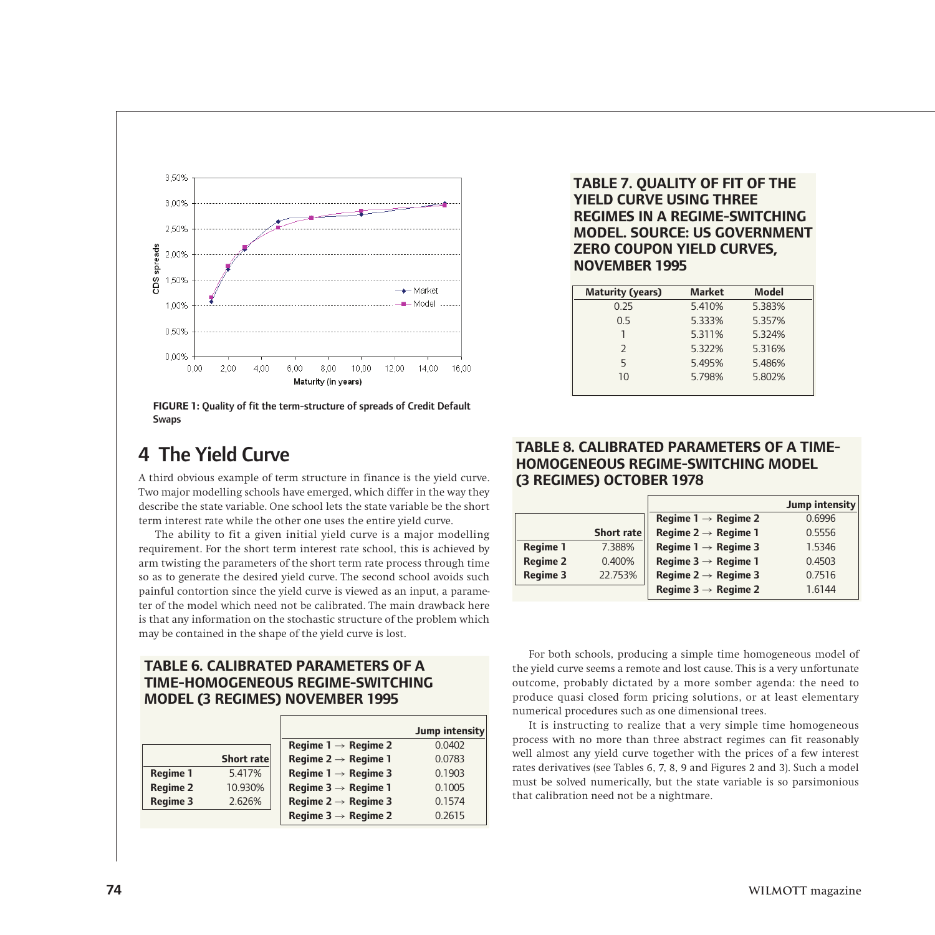

**FIGURE 1:** Quality of fit the term-structure of spreads of Credit Default Swaps

## 4 The Yield Curve

A third obvious example of term structure in finance is the yield curve. Two major modelling schools have emerged, which differ in the way they describe the state variable. One school lets the state variable be the short term interest rate while the other one uses the entire yield curve.

The ability to fit a given initial yield curve is a major modelling requirement. For the short term interest rate school, this is achieved by arm twisting the parameters of the short term rate process through time so as to generate the desired yield curve. The second school avoids such painful contortion since the yield curve is viewed as an input, a parameter of the model which need not be calibrated. The main drawback here is that any information on the stochastic structure of the problem which may be contained in the shape of the yield curve is lost.

## **TABLE 6. CALIBRATED PARAMETERS OF A TIME-HOMOGENEOUS REGIME-SWITCHING MODEL (3 REGIMES) NOVEMBER 1995**

|                 |            |                                 | Jump intensity |
|-----------------|------------|---------------------------------|----------------|
|                 |            | Regime $1 \rightarrow$ Regime 2 | 0.0402         |
|                 | Short rate | Regime 2 $\rightarrow$ Regime 1 | 0.0783         |
| <b>Regime 1</b> | 5.417%     | Regime $1 \rightarrow$ Regime 3 | 0.1903         |
| <b>Regime 2</b> | 10.930%    | Regime $3 \rightarrow$ Regime 1 | 0.1005         |
| <b>Regime 3</b> | 2.626%     | Regime 2 $\rightarrow$ Regime 3 | 0.1574         |
|                 |            | Regime $3 \rightarrow$ Regime 2 | 0.2615         |

#### **TABLE 7. QUALITY OF FIT OF THE YIELD CURVE USING THREE REGIMES IN A REGIME-SWITCHING MODEL. SOURCE: US GOVERNMENT ZERO COUPON YIELD CURVES, NOVEMBER 1995**

| <b>Maturity (years)</b> | <b>Market</b> | Model  |  |
|-------------------------|---------------|--------|--|
| 0.25                    | 5.410%        | 5.383% |  |
| 0.5                     | 5.333%        | 5.357% |  |
|                         | 5.311%        | 5.324% |  |
| $\mathcal{L}$           | 5.322%        | 5.316% |  |
| 5                       | 5.495%        | 5.486% |  |
| 10                      | 5.798%        | 5.802% |  |
|                         |               |        |  |

#### **TABLE 8. CALIBRATED PARAMETERS OF A TIME-HOMOGENEOUS REGIME-SWITCHING MODEL (3 REGIMES) OCTOBER 1978**

|                 |            |                                 | Jump intensity |
|-----------------|------------|---------------------------------|----------------|
|                 |            | Regime $1 \rightarrow$ Regime 2 | 0.6996         |
|                 | Short rate | Regime 2 $\rightarrow$ Regime 1 | 0.5556         |
| <b>Regime 1</b> | 7.388%     | Regime $1 \rightarrow$ Regime 3 | 1.5346         |
| <b>Regime 2</b> | 0.400%     | Regime $3 \rightarrow$ Regime 1 | 0.4503         |
| <b>Regime 3</b> | 22.753%    | Regime $2 \rightarrow$ Regime 3 | 0.7516         |
|                 |            | Regime $3 \rightarrow$ Regime 2 | 1.6144         |

For both schools, producing a simple time homogeneous model of the yield curve seems a remote and lost cause. This is a very unfortunate outcome, probably dictated by a more somber agenda: the need to produce quasi closed form pricing solutions, or at least elementary numerical procedures such as one dimensional trees.

It is instructing to realize that a very simple time homogeneous process with no more than three abstract regimes can fit reasonably well almost any yield curve together with the prices of a few interest rates derivatives (see Tables 6, 7, 8, 9 and Figures 2 and 3). Such a model must be solved numerically, but the state variable is so parsimonious that calibration need not be a nightmare.